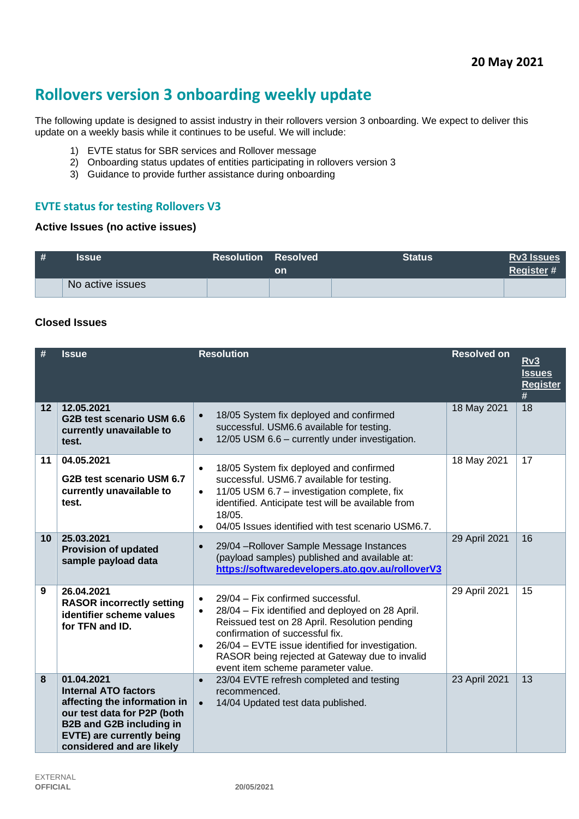# **Rollovers version 3 onboarding weekly update**

The following update is designed to assist industry in their rollovers version 3 onboarding. We expect to deliver this update on a weekly basis while it continues to be useful. We will include:

- 1) EVTE status for SBR services and Rollover message
- 2) Onboarding status updates of entities participating in rollovers version 3
- 3) Guidance to provide further assistance during onboarding

## **EVTE status for testing Rollovers V3**

#### **Active Issues (no active issues)**

| # | <b>Issue</b>     | <b>Resolution Resolved</b> | on | <b>Status</b> | <b>Rv3 Issues</b><br>Register# |
|---|------------------|----------------------------|----|---------------|--------------------------------|
|   | No active issues |                            |    |               |                                |

#### **Closed Issues**

|                   | <b>Issue</b>                                                                                                                                                                                                 | <b>Resolution</b>                                                                                                                                                                                                                                                                                                                                            | <b>Resolved on</b> | <u>Rv3</u><br><b>Issues</b><br><b>Register</b><br># |
|-------------------|--------------------------------------------------------------------------------------------------------------------------------------------------------------------------------------------------------------|--------------------------------------------------------------------------------------------------------------------------------------------------------------------------------------------------------------------------------------------------------------------------------------------------------------------------------------------------------------|--------------------|-----------------------------------------------------|
| $12 \overline{ }$ | 12.05.2021<br>G2B test scenario USM 6.6<br>currently unavailable to<br>test.                                                                                                                                 | 18/05 System fix deployed and confirmed<br>$\bullet$<br>successful. USM6.6 available for testing.<br>12/05 USM 6.6 - currently under investigation.<br>$\bullet$                                                                                                                                                                                             | 18 May 2021        | 18                                                  |
| 11                | 04.05.2021<br>G2B test scenario USM 6.7<br>currently unavailable to<br>test.                                                                                                                                 | 18/05 System fix deployed and confirmed<br>$\bullet$<br>successful. USM6.7 available for testing.<br>11/05 USM 6.7 - investigation complete, fix<br>$\bullet$<br>identified. Anticipate test will be available from<br>18/05.<br>04/05 Issues identified with test scenario USM6.7.<br>$\bullet$                                                             | 18 May 2021        | 17                                                  |
| 10                | 25.03.2021<br><b>Provision of updated</b><br>sample payload data                                                                                                                                             | 29/04 - Rollover Sample Message Instances<br>$\bullet$<br>(payload samples) published and available at:<br>https://softwaredevelopers.ato.gov.au/rolloverV3                                                                                                                                                                                                  | 29 April 2021      | 16                                                  |
| 9                 | 26.04.2021<br><b>RASOR incorrectly setting</b><br>identifier scheme values<br>for TFN and ID.                                                                                                                | 29/04 - Fix confirmed successful.<br>$\bullet$<br>28/04 - Fix identified and deployed on 28 April.<br>$\bullet$<br>Reissued test on 28 April. Resolution pending<br>confirmation of successful fix.<br>26/04 - EVTE issue identified for investigation.<br>$\bullet$<br>RASOR being rejected at Gateway due to invalid<br>event item scheme parameter value. | 29 April 2021      | 15                                                  |
| 8                 | 01.04.2021<br><b>Internal ATO factors</b><br>affecting the information in<br>our test data for P2P (both<br><b>B2B and G2B including in</b><br><b>EVTE) are currently being</b><br>considered and are likely | 23/04 EVTE refresh completed and testing<br>$\bullet$<br>recommenced.<br>14/04 Updated test data published.<br>$\bullet$                                                                                                                                                                                                                                     | 23 April 2021      | 13                                                  |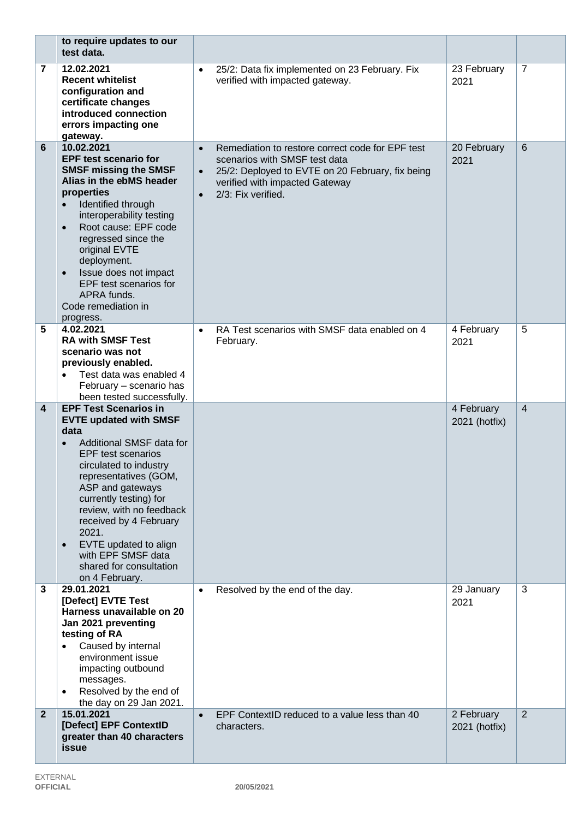|                         | to require updates to our<br>test data.                                                                                                                                                                                                                                                                                                                                                    |                                                                                                                                                                                                                                      |                             |                 |
|-------------------------|--------------------------------------------------------------------------------------------------------------------------------------------------------------------------------------------------------------------------------------------------------------------------------------------------------------------------------------------------------------------------------------------|--------------------------------------------------------------------------------------------------------------------------------------------------------------------------------------------------------------------------------------|-----------------------------|-----------------|
| 7                       | 12.02.2021<br><b>Recent whitelist</b><br>configuration and<br>certificate changes<br>introduced connection<br>errors impacting one<br>gateway.                                                                                                                                                                                                                                             | 25/2: Data fix implemented on 23 February. Fix<br>$\bullet$<br>verified with impacted gateway.                                                                                                                                       | 23 February<br>2021         | $\overline{7}$  |
| 6                       | 10.02.2021<br><b>EPF test scenario for</b><br><b>SMSF missing the SMSF</b><br>Alias in the ebMS header<br>properties<br>Identified through<br>interoperability testing<br>Root cause: EPF code<br>$\bullet$<br>regressed since the<br>original EVTE<br>deployment.<br>Issue does not impact<br>$\bullet$<br>EPF test scenarios for<br>APRA funds.<br>Code remediation in<br>progress.      | Remediation to restore correct code for EPF test<br>$\bullet$<br>scenarios with SMSF test data<br>25/2: Deployed to EVTE on 20 February, fix being<br>$\bullet$<br>verified with impacted Gateway<br>2/3: Fix verified.<br>$\bullet$ | 20 February<br>2021         | $6\phantom{1}6$ |
| 5                       | 4.02.2021<br><b>RA with SMSF Test</b><br>scenario was not<br>previously enabled.<br>Test data was enabled 4<br>February - scenario has<br>been tested successfully.                                                                                                                                                                                                                        | RA Test scenarios with SMSF data enabled on 4<br>$\bullet$<br>February.                                                                                                                                                              | 4 February<br>2021          | 5               |
| $\overline{\mathbf{4}}$ | <b>EPF Test Scenarios in</b><br><b>EVTE updated with SMSF</b><br>data<br>Additional SMSF data for<br><b>EPF</b> test scenarios<br>circulated to industry<br>representatives (GOM,<br>ASP and gateways<br>currently testing) for<br>review, with no feedback<br>received by 4 February<br>2021.<br>EVTE updated to align<br>with EPF SMSF data<br>shared for consultation<br>on 4 February. |                                                                                                                                                                                                                                      | 4 February<br>2021 (hotfix) | $\overline{4}$  |
| 3                       | 29.01.2021<br>[Defect] EVTE Test<br>Harness unavailable on 20<br>Jan 2021 preventing<br>testing of RA<br>Caused by internal<br>environment issue<br>impacting outbound<br>messages.<br>Resolved by the end of<br>the day on 29 Jan 2021.                                                                                                                                                   | Resolved by the end of the day.<br>$\bullet$                                                                                                                                                                                         | 29 January<br>2021          | 3               |
| $\overline{2}$          | 15.01.2021<br>[Defect] EPF ContextID<br>greater than 40 characters<br>issue                                                                                                                                                                                                                                                                                                                | EPF ContextID reduced to a value less than 40<br>$\bullet$<br>characters.                                                                                                                                                            | 2 February<br>2021 (hotfix) | 2               |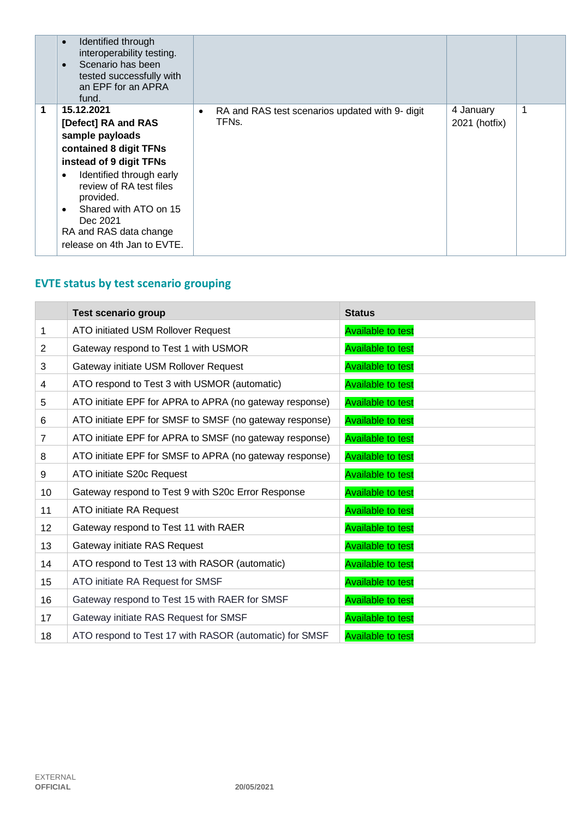|   | Identified through<br>$\bullet$<br>interoperability testing.<br>Scenario has been<br>$\bullet$<br>tested successfully with<br>an EPF for an APRA<br>fund.                                                                                                                                             |                                                                                    |                            |   |
|---|-------------------------------------------------------------------------------------------------------------------------------------------------------------------------------------------------------------------------------------------------------------------------------------------------------|------------------------------------------------------------------------------------|----------------------------|---|
| 1 | 15.12.2021<br>[Defect] RA and RAS<br>sample payloads<br>contained 8 digit TFNs<br>instead of 9 digit TFNs<br>Identified through early<br>$\bullet$<br>review of RA test files<br>provided.<br>Shared with ATO on 15<br>$\bullet$<br>Dec 2021<br>RA and RAS data change<br>release on 4th Jan to EVTE. | RA and RAS test scenarios updated with 9- digit<br>$\bullet$<br>TFN <sub>S</sub> . | 4 January<br>2021 (hotfix) | 1 |

# **EVTE status by test scenario grouping**

|                 | <b>Test scenario group</b>                              | <b>Status</b>            |
|-----------------|---------------------------------------------------------|--------------------------|
| 1               | ATO initiated USM Rollover Request                      | <b>Available to test</b> |
| $\overline{2}$  | Gateway respond to Test 1 with USMOR                    | <b>Available to test</b> |
| 3               | Gateway initiate USM Rollover Request                   | <b>Available to test</b> |
| 4               | ATO respond to Test 3 with USMOR (automatic)            | <b>Available to test</b> |
| 5               | ATO initiate EPF for APRA to APRA (no gateway response) | <b>Available to test</b> |
| 6               | ATO initiate EPF for SMSF to SMSF (no gateway response) | <b>Available to test</b> |
| $\overline{7}$  | ATO initiate EPF for APRA to SMSF (no gateway response) | <b>Available to test</b> |
| 8               | ATO initiate EPF for SMSF to APRA (no gateway response) | <b>Available to test</b> |
| 9               | ATO initiate S20c Request                               | <b>Available to test</b> |
| 10              | Gateway respond to Test 9 with S20c Error Response      | <b>Available to test</b> |
| 11              | ATO initiate RA Request                                 | <b>Available to test</b> |
| 12 <sup>°</sup> | Gateway respond to Test 11 with RAER                    | <b>Available to test</b> |
| 13              | Gateway initiate RAS Request                            | <b>Available to test</b> |
| 14              | ATO respond to Test 13 with RASOR (automatic)           | <b>Available to test</b> |
| 15              | ATO initiate RA Request for SMSF                        | <b>Available to test</b> |
| 16              | Gateway respond to Test 15 with RAER for SMSF           | <b>Available to test</b> |
| 17              | Gateway initiate RAS Request for SMSF                   | <b>Available to test</b> |
| 18              | ATO respond to Test 17 with RASOR (automatic) for SMSF  | <b>Available to test</b> |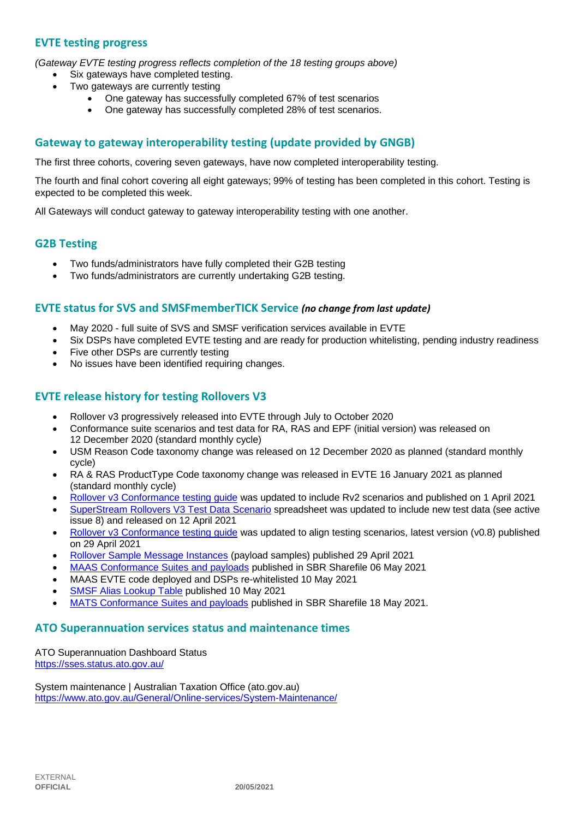## **EVTE testing progress**

*(Gateway EVTE testing progress reflects completion of the 18 testing groups above)*

- Six gateways have completed testing.
- Two gateways are currently testing
	- One gateway has successfully completed 67% of test scenarios
	- One gateway has successfully completed 28% of test scenarios.

## **Gateway to gateway interoperability testing (update provided by GNGB)**

The first three cohorts, covering seven gateways, have now completed interoperability testing.

The fourth and final cohort covering all eight gateways; 99% of testing has been completed in this cohort. Testing is expected to be completed this week.

All Gateways will conduct gateway to gateway interoperability testing with one another.

#### **G2B Testing**

- Two funds/administrators have fully completed their G2B testing
- Two funds/administrators are currently undertaking G2B testing.

#### **EVTE status for SVS and SMSFmemberTICK Service** *(no change from last update)*

- May 2020 full suite of SVS and SMSF verification services available in EVTE
- Six DSPs have completed EVTE testing and are ready for production whitelisting, pending industry readiness
- Five other DSPs are currently testing
- No issues have been identified requiring changes.

#### **EVTE release history for testing Rollovers V3**

- Rollover v3 progressively released into EVTE through July to October 2020
- Conformance suite scenarios and test data for RA, RAS and EPF (initial version) was released on 12 December 2020 (standard monthly cycle)
- USM Reason Code taxonomy change was released on 12 December 2020 as planned (standard monthly cycle)
- RA & RAS ProductType Code taxonomy change was released in EVTE 16 January 2021 as planned (standard monthly cycle)
- [Rollover v3 Conformance testing guide](https://softwaredevelopers.ato.gov.au/rolloverV3) was updated to include Rv2 scenarios and published on 1 April 2021
- [SuperStream Rollovers V3 Test Data Scenario](https://softwaredevelopers.ato.gov.au/sites/default/files/2021-04/SuperStream_RolloversV3_Test_Data_Scenario_V1.0.xlsx) spreadsheet was updated to include new test data (see active issue 8) and released on 12 April 2021
- [Rollover v3 Conformance testing guide](https://softwaredevelopers.ato.gov.au/rolloverV3) was updated to align testing scenarios, latest version (v0.8) published on 29 April 2021
- [Rollover Sample Message Instances](https://softwaredevelopers.ato.gov.au/rolloverV3) (payload samples) published 29 April 2021
- [MAAS Conformance Suites and payloads](https://standardbusinessreporting.sharefile.com/home/shared/fod63f12-7bbb-4c61-96e7-33dc9eae4d9a) published in SBR Sharefile 06 May 2021
- MAAS EVTE code deployed and DSPs re-whitelisted 10 May 2021
- [SMSF Alias Lookup Table](https://softwaredevelopers.ato.gov.au/supervalidationservices) published 10 May 2021
- [MATS Conformance Suites and payloads](http://standardbusinessreporting.sharefile.com/) published in SBR Sharefile 18 May 2021.

#### **ATO Superannuation services status and maintenance times**

[ATO Superannuation Dashboard Status](https://sses.status.ato.gov.au/) <https://sses.status.ato.gov.au/>

[System maintenance | Australian Taxation Office \(ato.gov.au\)](https://www.ato.gov.au/General/Online-services/System-Maintenance/) <https://www.ato.gov.au/General/Online-services/System-Maintenance/>